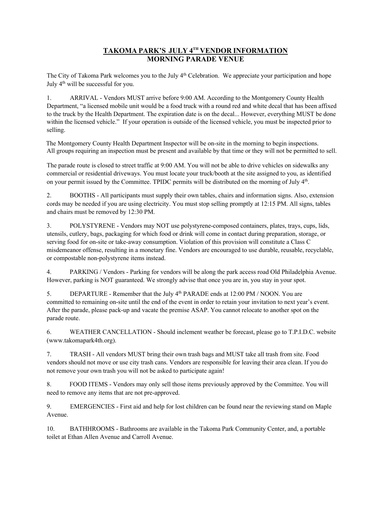## **TAKOMA PARK'S JULY 4TH VENDOR INFORMATION MORNING PARADE VENUE**

The City of Takoma Park welcomes you to the July  $4<sup>th</sup>$  Celebration. We appreciate your participation and hope July 4<sup>th</sup> will be successful for you.

1. ARRIVAL - Vendors MUST arrive before 9:00 AM. According to the Montgomery County Health Department, "a licensed mobile unit would be a food truck with a round red and white decal that has been affixed to the truck by the Health Department. The expiration date is on the decal... However, everything MUST be done within the licensed vehicle." If your operation is outside of the licensed vehicle, you must be inspected prior to selling.

The Montgomery County Health Department Inspector will be on-site in the morning to begin inspections. All groups requiring an inspection must be present and available by that time or they will not be permitted to sell.

The parade route is closed to street traffic at 9:00 AM. You will not be able to drive vehicles on sidewalks any commercial or residential driveways. You must locate your truck/booth at the site assigned to you, as identified on your permit issued by the Committee. TPIDC permits will be distributed on the morning of July 4th.

2. BOOTHS - All participants must supply their own tables, chairs and information signs. Also, extension cords may be needed if you are using electricity. You must stop selling promptly at 12:15 PM. All signs, tables and chairs must be removed by 12:30 PM.

3. POLYSTYRENE - Vendors may NOT use polystyrene-composed containers, plates, trays, cups, lids, utensils, cutlery, bags, packaging for which food or drink will come in contact during preparation, storage, or serving food for on-site or take-away consumption. Violation of this provision will constitute a Class C misdemeanor offense, resulting in a monetary fine. Vendors are encouraged to use durable, reusable, recyclable, or compostable non-polystyrene items instead.

4. PARKING / Vendors - Parking for vendors will be along the park access road Old Philadelphia Avenue. However, parking is NOT guaranteed. We strongly advise that once you are in, you stay in your spot.

5. DEPARTURE - Remember that the July 4th PARADE ends at 12:00 PM / NOON. You are committed to remaining on-site until the end of the event in order to retain your invitation to next year's event. After the parade, please pack-up and vacate the premise ASAP. You cannot relocate to another spot on the parade route.

6. WEATHER CANCELLATION - Should inclement weather be forecast, please go to T.P.I.D.C. website (www.takomapark4th.org).

7. TRASH - All vendors MUST bring their own trash bags and MUST take all trash from site. Food vendors should not move or use city trash cans. Vendors are responsible for leaving their area clean. If you do not remove your own trash you will not be asked to participate again!

8. FOOD ITEMS - Vendors may only sell those items previously approved by the Committee. You will need to remove any items that are not pre-approved.

9. EMERGENCIES - First aid and help for lost children can be found near the reviewing stand on Maple Avenue.

10. BATHHROOMS - Bathrooms are available in the Takoma Park Community Center, and, a portable toilet at Ethan Allen Avenue and Carroll Avenue.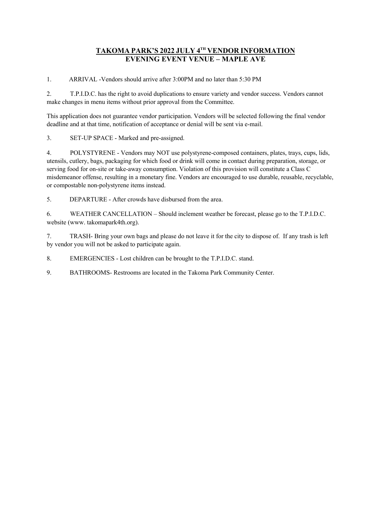## **TAKOMA PARK'S 2022 JULY 4TH VENDOR INFORMATION EVENING EVENT VENUE – MAPLE AVE**

1. ARRIVAL -Vendors should arrive after 3:00PM and no later than 5:30 PM

2. T.P.I.D.C. has the right to avoid duplications to ensure variety and vendor success. Vendors cannot make changes in menu items without prior approval from the Committee.

This application does not guarantee vendor participation. Vendors will be selected following the final vendor deadline and at that time, notification of acceptance or denial will be sent via e-mail.

3. SET-UP SPACE - Marked and pre-assigned.

4. POLYSTYRENE - Vendors may NOT use polystyrene-composed containers, plates, trays, cups, lids, utensils, cutlery, bags, packaging for which food or drink will come in contact during preparation, storage, or serving food for on-site or take-away consumption. Violation of this provision will constitute a Class C misdemeanor offense, resulting in a monetary fine. Vendors are encouraged to use durable, reusable, recyclable, or compostable non-polystyrene items instead.

5. DEPARTURE - After crowds have disbursed from the area.

6. WEATHER CANCELLATION – Should inclement weather be forecast, please go to the T.P.I.D.C. website (www. takomapark4th.org).

7. TRASH- Bring your own bags and please do not leave it for the city to dispose of. If any trash is left by vendor you will not be asked to participate again.

8. EMERGENCIES - Lost children can be brought to the T.P.I.D.C. stand.

9. BATHROOMS- Restrooms are located in the Takoma Park Community Center.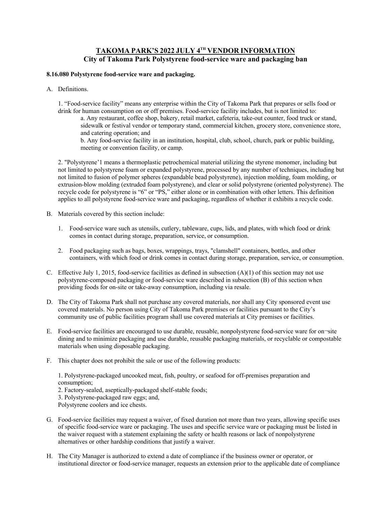## **TAKOMA PARK'S 2022 JULY 4TH VENDOR INFORMATION City of Takoma Park Polystyrene food-service ware and packaging ban**

## **8.16.080 Polystyrene food-service ware and packaging.**

A. Definitions.

1. "Food-service facility" means any enterprise within the City of Takoma Park that prepares or sells food or drink for human consumption on or off premises. Food-service facility includes, but is not limited to:

a. Any restaurant, coffee shop, bakery, retail market, cafeteria, take-out counter, food truck or stand, sidewalk or festival vendor or temporary stand, commercial kitchen, grocery store, convenience store, and catering operation; and

b. Any food-service facility in an institution, hospital, club, school, church, park or public building, meeting or convention facility, or camp.

2. "Polystyrene'1 means a thermoplastic petrochemical material utilizing the styrene monomer, including but not limited to polystyrene foam or expanded polystyrene, processed by any number of techniques, including but not limited to fusion of polymer spheres (expandable bead polystyrene), injection molding, foam molding, or extrusion-blow molding (extruded foam polystyrene), and clear or solid polystyrene (oriented polystyrene). The recycle code for polystyrene is "6" or "PS," either alone or in combination with other letters. This definition applies to all polystyrene food-service ware and packaging, regardless of whether it exhibits a recycle code.

- B. Materials covered by this section include:
	- 1. Food-service ware such as utensils, cutlery, tableware, cups, lids, and plates, with which food or drink comes in contact during storage, preparation, service, or consumption.
	- 2. Food packaging such as bags, boxes, wrappings, trays, "clamshell" containers, bottles, and other containers, with which food or drink comes in contact during storage, preparation, service, or consumption.
- C. Effective July 1, 2015, food-service facilities as defined in subsection  $(A)(1)$  of this section may not use polystyrene-composed packaging or food-service ware described in subsection (B) of this section when providing foods for on-site or take-away consumption, including via resale.
- D. The City of Takoma Park shall not purchase any covered materials, nor shall any City sponsored event use covered materials. No person using City of Takoma Park premises or facilities pursuant to the City's community use of public facilities program shall use covered materials at City premises or facilities.
- E. Food-service facilities are encouraged to use durable, reusable, nonpolystyrene food-service ware for on¬site dining and to minimize packaging and use durable, reusable packaging materials, or recyclable or compostable materials when using disposable packaging.
- F. This chapter does not prohibit the sale or use of the following products:

1. Polystyrene-packaged uncooked meat, fish, poultry, or seafood for off-premises preparation and consumption;

- 2. Factory-sealed, aseptically-packaged shelf-stable foods;
- 3. Polystyrene-packaged raw eggs; and,
- Polystyrene coolers and ice chests.
- G. Food-service facilities may request a waiver, of fixed duration not more than two years, allowing specific uses of specific food-service ware or packaging. The uses and specific service ware or packaging must be listed in the waiver request with a statement explaining the safety or health reasons or lack of nonpolystyrene alternatives or other hardship conditions that justify a waiver.
- H. The City Manager is authorized to extend a date of compliance if the business owner or operator, or institutional director or food-service manager, requests an extension prior to the applicable date of compliance